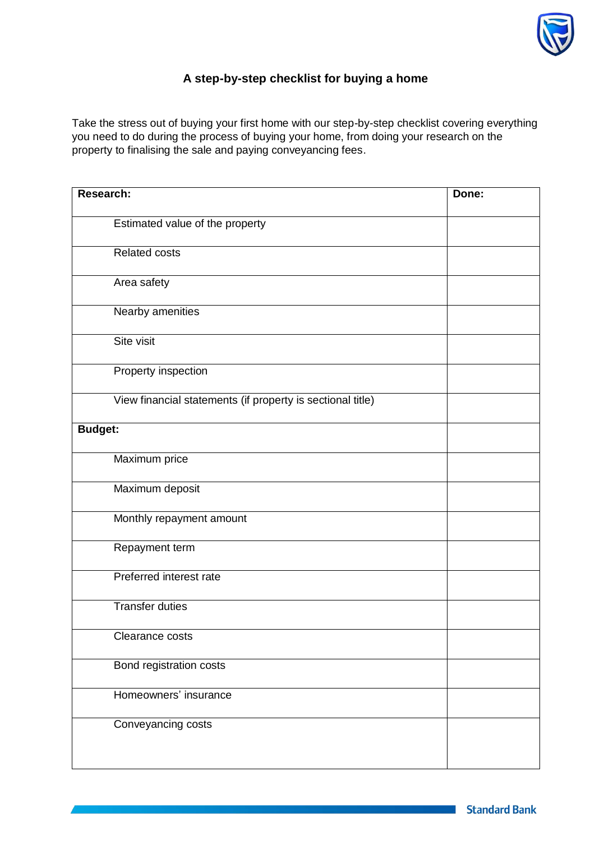

## **A step-by-step checklist for buying a home**

Take the stress out of buying your first home with our step-by-step checklist covering everything you need to do during the process of buying your home, from doing your research on the property to finalising the sale and paying conveyancing fees.

| <b>Research:</b>                                           | Done: |
|------------------------------------------------------------|-------|
| Estimated value of the property                            |       |
| <b>Related costs</b>                                       |       |
| Area safety                                                |       |
| Nearby amenities                                           |       |
| Site visit                                                 |       |
| Property inspection                                        |       |
| View financial statements (if property is sectional title) |       |
| <b>Budget:</b>                                             |       |
| Maximum price                                              |       |
| Maximum deposit                                            |       |
| Monthly repayment amount                                   |       |
| Repayment term                                             |       |
| Preferred interest rate                                    |       |
| <b>Transfer duties</b>                                     |       |
| Clearance costs                                            |       |
| Bond registration costs                                    |       |
| Homeowners' insurance                                      |       |
| Conveyancing costs                                         |       |
|                                                            |       |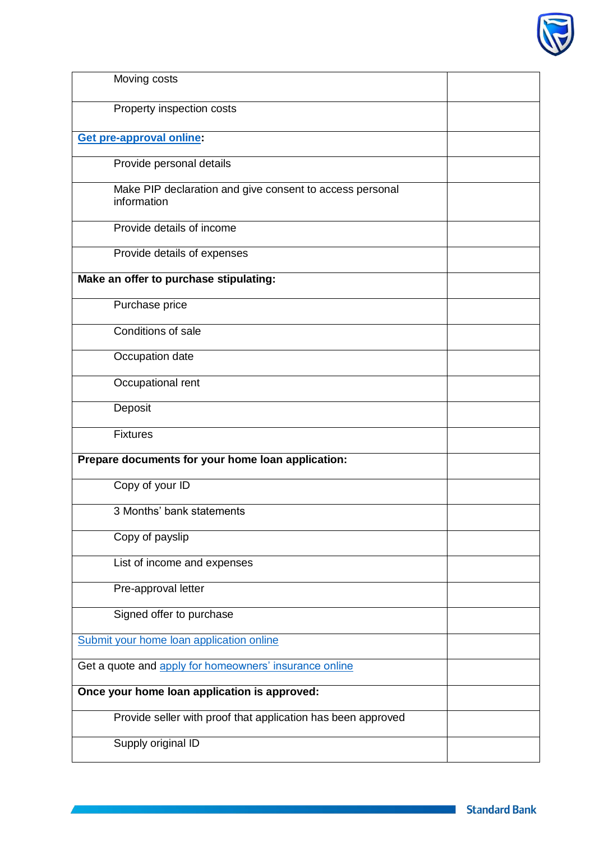

| Moving costs                                                            |  |
|-------------------------------------------------------------------------|--|
| Property inspection costs                                               |  |
| <b>Get pre-approval online:</b>                                         |  |
| Provide personal details                                                |  |
| Make PIP declaration and give consent to access personal<br>information |  |
| Provide details of income                                               |  |
| Provide details of expenses                                             |  |
| Make an offer to purchase stipulating:                                  |  |
| Purchase price                                                          |  |
| Conditions of sale                                                      |  |
| Occupation date                                                         |  |
| Occupational rent                                                       |  |
| Deposit                                                                 |  |
| <b>Fixtures</b>                                                         |  |
| Prepare documents for your home loan application:                       |  |
| Copy of your ID                                                         |  |
| 3 Months' bank statements                                               |  |
| Copy of payslip                                                         |  |
| List of income and expenses                                             |  |
| Pre-approval letter                                                     |  |
| Signed offer to purchase                                                |  |
| Submit your home loan application online                                |  |
| Get a quote and apply for homeowners' insurance online                  |  |
| Once your home loan application is approved:                            |  |
| Provide seller with proof that application has been approved            |  |
| Supply original ID                                                      |  |